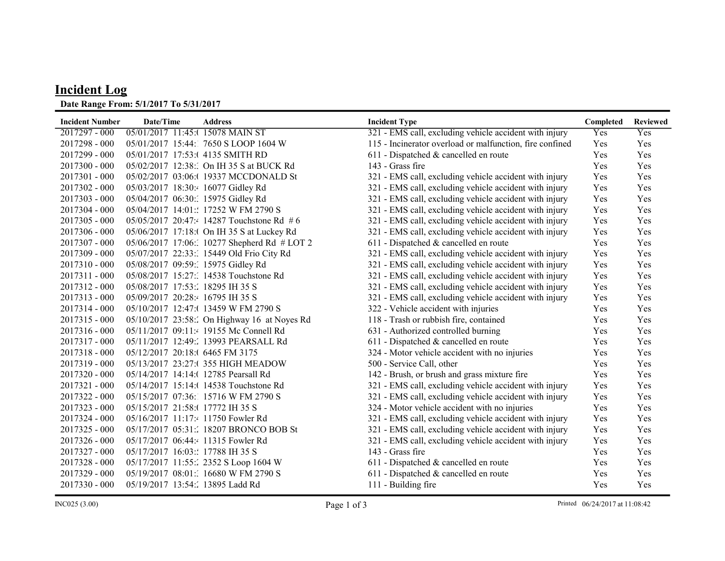## Incident Log

## Date Range From: 5/1/2017 To 5/31/2017

| <b>Incident Number</b> | Date/Time                            | <b>Address</b>                              | <b>Incident Type</b>                                     | Completed | <b>Reviewed</b> |
|------------------------|--------------------------------------|---------------------------------------------|----------------------------------------------------------|-----------|-----------------|
| $2017297 - 000$        | 05/01/2017 11:45:( 15078 MAIN ST     |                                             | 321 - EMS call, excluding vehicle accident with injury   | Yes       | Yes             |
| $2017298 - 000$        |                                      | 05/01/2017 15:44: 7650 S LOOP 1604 W        | 115 - Incinerator overload or malfunction, fire confined | Yes       | Yes             |
| 2017299 - 000          | 05/01/2017 17:53:( 4135 SMITH RD     |                                             | 611 - Dispatched & cancelled en route                    | Yes       | Yes             |
| $2017300 - 000$        |                                      | 05/02/2017 12:38: On IH 35 S at BUCK Rd     | 143 - Grass fire                                         | Yes       | Yes             |
| $2017301 - 000$        |                                      | 05/02/2017 03:06:(19337 MCCDONALD St        | 321 - EMS call, excluding vehicle accident with injury   | Yes       | Yes             |
| 2017302 - 000          | 05/03/2017 18:30:4 16077 Gidley Rd   |                                             | 321 - EMS call, excluding vehicle accident with injury   | Yes       | Yes             |
| 2017303 - 000          | 05/04/2017 06:30: 15975 Gidley Rd    |                                             | 321 - EMS call, excluding vehicle accident with injury   | Yes       | Yes             |
| 2017304 - 000          |                                      | 05/04/2017 14:01:: 17252 W FM 2790 S        | 321 - EMS call, excluding vehicle accident with injury   | Yes       | Yes             |
| $2017305 - 000$        |                                      | 05/05/2017 20:47:4 14287 Touchstone Rd #6   | 321 - EMS call, excluding vehicle accident with injury   | Yes       | Yes             |
| 2017306 - 000          |                                      | 05/06/2017 17:18:( On IH 35 S at Luckey Rd  | 321 - EMS call, excluding vehicle accident with injury   | Yes       | Yes             |
| 2017307 - 000          |                                      | 05/06/2017 17:06: 10277 Shepherd Rd # LOT 2 | 611 - Dispatched & cancelled en route                    | Yes       | Yes             |
| 2017309 - 000          |                                      | 05/07/2017 22:33: 15449 Old Frio City Rd    | 321 - EMS call, excluding vehicle accident with injury   | Yes       | Yes             |
| $2017310 - 000$        | 05/08/2017 09:59: 15975 Gidley Rd    |                                             | 321 - EMS call, excluding vehicle accident with injury   | Yes       | Yes             |
| $2017311 - 000$        |                                      | 05/08/2017 15:27: 14538 Touchstone Rd       | 321 - EMS call, excluding vehicle accident with injury   | Yes       | Yes             |
| 2017312 - 000          | 05/08/2017 17:53: 18295 IH 35 S      |                                             | 321 - EMS call, excluding vehicle accident with injury   | Yes       | Yes             |
| $2017313 - 000$        | 05/09/2017 20:28: 16795 IH 35 S      |                                             | 321 - EMS call, excluding vehicle accident with injury   | Yes       | Yes             |
| 2017314 - 000          |                                      | 05/10/2017 12:47:(13459 W FM 2790 S         | 322 - Vehicle accident with injuries                     | Yes       | Yes             |
| 2017315 - 000          |                                      | 05/10/2017 23:58: On Highway 16 at Noyes Rd | 118 - Trash or rubbish fire, contained                   | Yes       | Yes             |
| 2017316 - 000          |                                      | 05/11/2017 09:11: 19155 Mc Connell Rd       | 631 - Authorized controlled burning                      | Yes       | Yes             |
| 2017317 - 000          |                                      | 05/11/2017 12:49: 13993 PEARSALL Rd         | 611 - Dispatched & cancelled en route                    | Yes       | Yes             |
| $2017318 - 000$        | 05/12/2017 20:18:0 6465 FM 3175      |                                             | 324 - Motor vehicle accident with no injuries            | Yes       | Yes             |
| 2017319 - 000          |                                      | 05/13/2017 23:27:(355 HIGH MEADOW           | 500 - Service Call, other                                | Yes       | Yes             |
| 2017320 - 000          | 05/14/2017 14:14:( 12785 Pearsall Rd |                                             | 142 - Brush, or brush and grass mixture fire             | Yes       | Yes             |
| 2017321 - 000          |                                      | 05/14/2017 15:14:( 14538 Touchstone Rd      | 321 - EMS call, excluding vehicle accident with injury   | Yes       | Yes             |
| 2017322 - 000          |                                      | 05/15/2017 07:36: 15716 W FM 2790 S         | 321 - EMS call, excluding vehicle accident with injury   | Yes       | Yes             |
| 2017323 - 000          | 05/15/2017 21:58:( 17772 IH 35 S     |                                             | 324 - Motor vehicle accident with no injuries            | Yes       | Yes             |
| 2017324 - 000          | 05/16/2017 11:17: 11750 Fowler Rd    |                                             | 321 - EMS call, excluding vehicle accident with injury   | Yes       | Yes             |
| 2017325 - 000          |                                      | 05/17/2017 05:31: 18207 BRONCO BOB St       | 321 - EMS call, excluding vehicle accident with injury   | Yes       | Yes             |
| 2017326 - 000          | 05/17/2017 06:44: 11315 Fowler Rd    |                                             | 321 - EMS call, excluding vehicle accident with injury   | Yes       | Yes             |
| 2017327 - 000          | 05/17/2017 16:03:: 17788 IH 35 S     |                                             | 143 - Grass fire                                         | Yes       | Yes             |
| 2017328 - 000          |                                      | 05/17/2017 11:55: 2352 S Loop 1604 W        | 611 - Dispatched & cancelled en route                    | Yes       | Yes             |
| 2017329 - 000          |                                      | 05/19/2017 08:01: 16680 W FM 2790 S         | 611 - Dispatched & cancelled en route                    | Yes       | Yes             |
| $2017330 - 000$        | 05/19/2017 13:54: 13895 Ladd Rd      |                                             | 111 - Building fire                                      | Yes       | Yes             |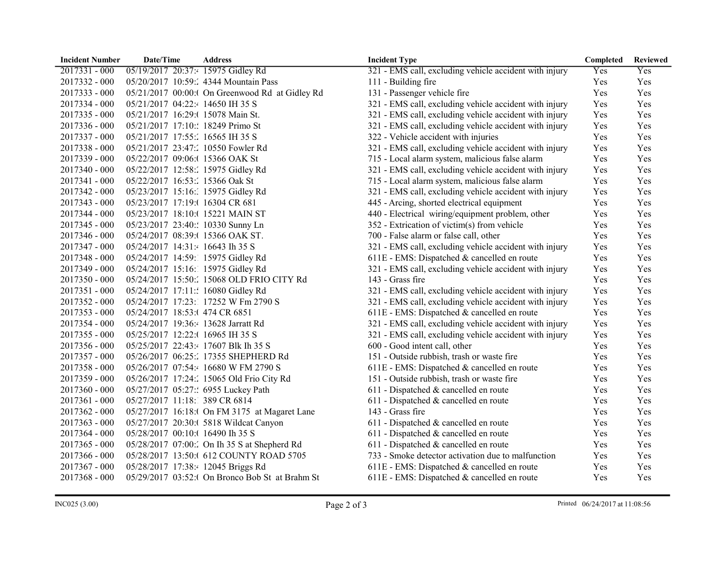| <b>Incident Number</b> | Date/Time                            | <b>Address</b>                                  | <b>Incident Type</b>                                   | Completed | <b>Reviewed</b> |
|------------------------|--------------------------------------|-------------------------------------------------|--------------------------------------------------------|-----------|-----------------|
| 2017331 - 000          | 05/19/2017 20:37: 15975 Gidley Rd    |                                                 | 321 - EMS call, excluding vehicle accident with injury | Yes       | Yes             |
| 2017332 - 000          |                                      | 05/20/2017 10:59: 4344 Mountain Pass            | 111 - Building fire                                    | Yes       | Yes             |
| 2017333 - 000          |                                      | 05/21/2017 00:00:( On Greenwood Rd at Gidley Rd | 131 - Passenger vehicle fire                           | Yes       | Yes             |
| 2017334 - 000          | 05/21/2017 04:22: 14650 IH 35 S      |                                                 | 321 - EMS call, excluding vehicle accident with injury | Yes       | Yes             |
| 2017335 - 000          | 05/21/2017 16:29:( 15078 Main St.    |                                                 | 321 - EMS call, excluding vehicle accident with injury | Yes       | Yes             |
| 2017336 - 000          | 05/21/2017 17:10:: 18249 Primo St    |                                                 | 321 - EMS call, excluding vehicle accident with injury | Yes       | Yes             |
| 2017337 - 000          | 05/21/2017 17:55: 16565 IH 35 S      |                                                 | 322 - Vehicle accident with injuries                   | Yes       | Yes             |
| $2017338 - 000$        | 05/21/2017 23:47: 10550 Fowler Rd    |                                                 | 321 - EMS call, excluding vehicle accident with injury | Yes       | Yes             |
| 2017339 - 000          | 05/22/2017 09:06:(15366 OAK St       |                                                 | 715 - Local alarm system, malicious false alarm        | Yes       | Yes             |
| 2017340 - 000          | 05/22/2017 12:58: 15975 Gidley Rd    |                                                 | 321 - EMS call, excluding vehicle accident with injury | Yes       | Yes             |
| 2017341 - 000          | 05/22/2017 16:53: 15366 Oak St       |                                                 | 715 - Local alarm system, malicious false alarm        | Yes       | Yes             |
| 2017342 - 000          | 05/23/2017 15:16: 15975 Gidley Rd    |                                                 | 321 - EMS call, excluding vehicle accident with injury | Yes       | Yes             |
| 2017343 - 000          | 05/23/2017 17:19:( 16304 CR 681      |                                                 | 445 - Arcing, shorted electrical equipment             | Yes       | Yes             |
| 2017344 - 000          | 05/23/2017 18:10:( 15221 MAIN ST     |                                                 | 440 - Electrical wiring/equipment problem, other       | Yes       | Yes             |
| 2017345 - 000          | 05/23/2017 23:40:: 10330 Sunny Ln    |                                                 | 352 - Extrication of victim(s) from vehicle            | Yes       | Yes             |
| 2017346 - 000          | 05/24/2017 08:39:( 15366 OAK ST.     |                                                 | 700 - False alarm or false call, other                 | Yes       | Yes             |
| 2017347 - 000          | 05/24/2017 14:31: 16643 Ih 35 S      |                                                 | 321 - EMS call, excluding vehicle accident with injury | Yes       | Yes             |
| 2017348 - 000          | 05/24/2017 14:59: 15975 Gidley Rd    |                                                 | 611E - EMS: Dispatched & cancelled en route            | Yes       | Yes             |
| 2017349 - 000          | 05/24/2017 15:16: 15975 Gidley Rd    |                                                 | 321 - EMS call, excluding vehicle accident with injury | Yes       | Yes             |
| 2017350 - 000          |                                      | 05/24/2017 15:50: 15068 OLD FRIO CITY Rd        | 143 - Grass fire                                       | Yes       | Yes             |
| 2017351 - 000          | 05/24/2017 17:11:: 16080 Gidley Rd   |                                                 | 321 - EMS call, excluding vehicle accident with injury | Yes       | Yes             |
| 2017352 - 000          |                                      | 05/24/2017 17:23: 17252 W Fm 2790 S             | 321 - EMS call, excluding vehicle accident with injury | Yes       | Yes             |
| 2017353 - 000          | 05/24/2017 18:53:(474 CR 6851        |                                                 | 611E - EMS: Dispatched & cancelled en route            | Yes       | Yes             |
| 2017354 - 000          | 05/24/2017 19:36:4 13628 Jarratt Rd  |                                                 | 321 - EMS call, excluding vehicle accident with injury | Yes       | Yes             |
| 2017355 - 000          | 05/25/2017 12:22:(16965 IH 35 S      |                                                 | 321 - EMS call, excluding vehicle accident with injury | Yes       | Yes             |
| 2017356 - 000          | 05/25/2017 22:43:4 17607 Blk Ih 35 S |                                                 | 600 - Good intent call, other                          | Yes       | Yes             |
| 2017357 - 000          |                                      | 05/26/2017 06:25: 17355 SHEPHERD Rd             | 151 - Outside rubbish, trash or waste fire             | Yes       | Yes             |
| 2017358 - 000          |                                      | 05/26/2017 07:54: 16680 W FM 2790 S             | 611E - EMS: Dispatched & cancelled en route            | Yes       | Yes             |
| 2017359 - 000          |                                      | 05/26/2017 17:24: 15065 Old Frio City Rd        | 151 - Outside rubbish, trash or waste fire             | Yes       | Yes             |
| 2017360 - 000          | 05/27/2017 05:27:: 6955 Luckey Path  |                                                 | 611 - Dispatched & cancelled en route                  | Yes       | Yes             |
| 2017361 - 000          | 05/27/2017 11:18: 389 CR 6814        |                                                 | 611 - Dispatched & cancelled en route                  | Yes       | Yes             |
| 2017362 - 000          |                                      | 05/27/2017 16:18:0 On FM 3175 at Magaret Lane   | 143 - Grass fire                                       | Yes       | Yes             |
| 2017363 - 000          |                                      | 05/27/2017 20:30:( 5818 Wildcat Canyon          | 611 - Dispatched & cancelled en route                  | Yes       | Yes             |
| 2017364 - 000          | 05/28/2017 00:10:(16490 Ih 35 S      |                                                 | 611 - Dispatched & cancelled en route                  | Yes       | Yes             |
| 2017365 - 000          |                                      | 05/28/2017 07:00: On Ih 35 S at Shepherd Rd     | 611 - Dispatched & cancelled en route                  | Yes       | Yes             |
| 2017366 - 000          |                                      | 05/28/2017 13:50:( 612 COUNTY ROAD 5705         | 733 - Smoke detector activation due to malfunction     | Yes       | Yes             |
| 2017367 - 000          | 05/28/2017 17:38: 12045 Briggs Rd    |                                                 | 611E - EMS: Dispatched & cancelled en route            | Yes       | Yes             |
| 2017368 - 000          |                                      | 05/29/2017 03:52:( On Bronco Bob St at Brahm St | 611E - EMS: Dispatched & cancelled en route            | Yes       | Yes             |